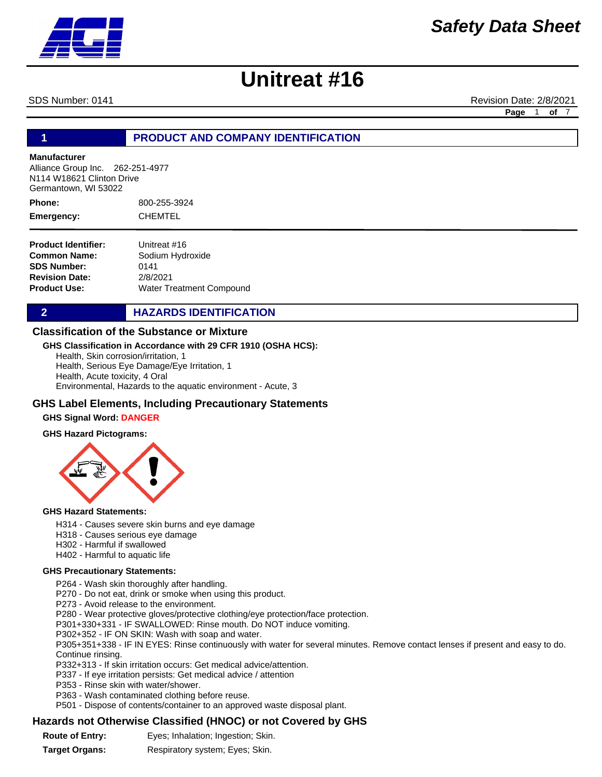

SDS Number: 0141 **Revision Date: 2/8/2021** Revision Date: 2/8/2021

**Page** 1 **of** 7

#### **1 PRODUCT AND COMPANY IDENTIFICATION**

#### **Manufacturer**

Alliance Group Inc. 262-251-4977 N114 W18621 Clinton Drive Germantown, WI 53022

800-255-3924 CHEMTEL **Phone: Emergency:**

**Product Identifier: Common Name: SDS Number: Revision Date: Product Use:** Unitreat #16 Sodium Hydroxide 0141 2/8/2021 Water Treatment Compound

**2 HAZARDS IDENTIFICATION** 

#### **Classification of the Substance or Mixture**

#### **GHS Classification in Accordance with 29 CFR 1910 (OSHA HCS):**

Health, Skin corrosion/irritation, 1 Health, Serious Eye Damage/Eye Irritation, 1 Health, Acute toxicity, 4 Oral Environmental, Hazards to the aquatic environment - Acute, 3

#### **GHS Label Elements, Including Precautionary Statements**

#### **GHS Signal Word: DANGER**

#### **GHS Hazard Pictograms:**



#### **GHS Hazard Statements:**

- H314 Causes severe skin burns and eye damage
- H318 Causes serious eye damage
- H302 Harmful if swallowed
- H402 Harmful to aquatic life

#### **GHS Precautionary Statements:**

P264 - Wash skin thoroughly after handling.

P270 - Do not eat, drink or smoke when using this product.

P273 - Avoid release to the environment.

P280 - Wear protective gloves/protective clothing/eye protection/face protection.

P301+330+331 - IF SWALLOWED: Rinse mouth. Do NOT induce vomiting.

P302+352 - IF ON SKIN: Wash with soap and water.

P305+351+338 - IF IN EYES: Rinse continuously with water for several minutes. Remove contact lenses if present and easy to do. Continue rinsing.

P332+313 - If skin irritation occurs: Get medical advice/attention.

P337 - If eye irritation persists: Get medical advice / attention

- P353 Rinse skin with water/shower.
- P363 Wash contaminated clothing before reuse.

P501 - Dispose of contents/container to an approved waste disposal plant.

#### **Hazards not Otherwise Classified (HNOC) or not Covered by GHS**

**Route of Entry:** Eyes; Inhalation; Ingestion; Skin.

**Target Organs:** Respiratory system; Eyes; Skin.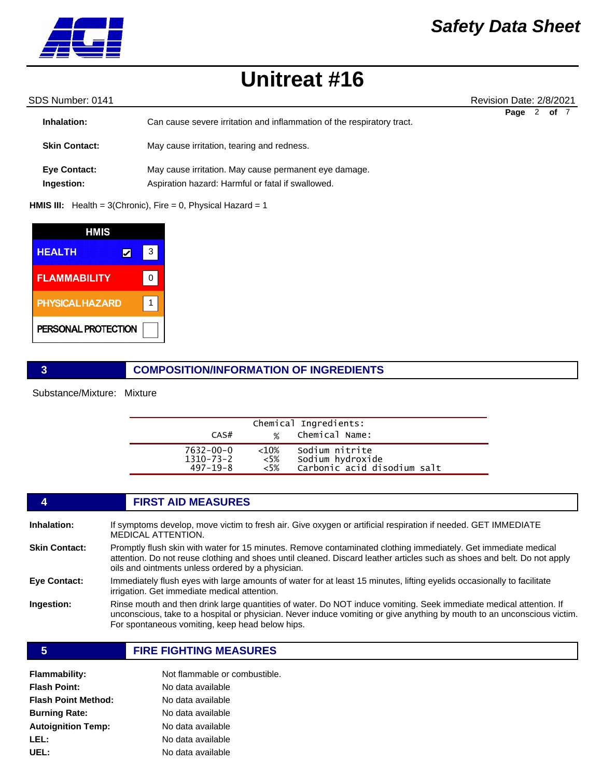

### *Safety Data Sheet*

## **Unitreat #16**

| SDS Number: 0141                  |                                                                                                            | Revision Date: 2/8/2021 |  |
|-----------------------------------|------------------------------------------------------------------------------------------------------------|-------------------------|--|
| Inhalation:                       | Can cause severe irritation and inflammation of the respiratory tract.                                     | 2<br>of 7<br>Page       |  |
| <b>Skin Contact:</b>              | May cause irritation, tearing and redness.                                                                 |                         |  |
| <b>Eye Contact:</b><br>Ingestion: | May cause irritation. May cause permanent eye damage.<br>Aspiration hazard: Harmful or fatal if swallowed. |                         |  |

**HMIS III:** Health = 3(Chronic), Fire = 0, Physical Hazard = 1

| HMIS                   |   |  |
|------------------------|---|--|
| <b>HEALTH</b>          | 3 |  |
| <b>FLAMMABILITY</b>    | n |  |
| <b>PHYSICAL HAZARD</b> |   |  |
| PERSONAL PROTECTION    |   |  |

#### **3 COMPOSITION/INFORMATION OF INGREDIENTS**

Substance/Mixture: Mixture

| CAS#            | $\frac{1}{2}$ | Chemical Ingredients:<br>Chemical Name: |
|-----------------|---------------|-----------------------------------------|
| $7632 - 00 - 0$ | ${<}10%$      | Sodium nitrite                          |
| $1310 - 73 - 2$ | <5%           | Sodium hydroxide                        |
| $497 - 19 - 8$  | $~5\%$        | Carbonic acid disodium salt             |

### **4 FIRST AID MEASURES**

| If symptoms develop, move victim to fresh air. Give oxygen or artificial respiration if needed. GET IMMEDIATE<br><b>MEDICAL ATTENTION.</b>                                                                                                                                                       |
|--------------------------------------------------------------------------------------------------------------------------------------------------------------------------------------------------------------------------------------------------------------------------------------------------|
| Promptly flush skin with water for 15 minutes. Remove contaminated clothing immediately. Get immediate medical<br>attention. Do not reuse clothing and shoes until cleaned. Discard leather articles such as shoes and belt. Do not apply<br>oils and ointments unless ordered by a physician.   |
| Immediately flush eyes with large amounts of water for at least 15 minutes, lifting eyelids occasionally to facilitate<br>irrigation. Get immediate medical attention.                                                                                                                           |
| Rinse mouth and then drink large quantities of water. Do NOT induce vomiting. Seek immediate medical attention. If<br>unconscious, take to a hospital or physician. Never induce vomiting or give anything by mouth to an unconscious victim.<br>For spontaneous vomiting, keep head below hips. |
|                                                                                                                                                                                                                                                                                                  |

**5 FIRE FIGHTING MEASURES**

| Flammability:        | Not flammable or combustible. |  |
|----------------------|-------------------------------|--|
| <b>Flash Point:</b>  | No data available             |  |
| Flash Point Method:  | No data available             |  |
| <b>Burning Rate:</b> | No data available             |  |
| Autoignition Temp:   | No data available             |  |
| LEL:                 | No data available             |  |
| UEL:                 | No data available             |  |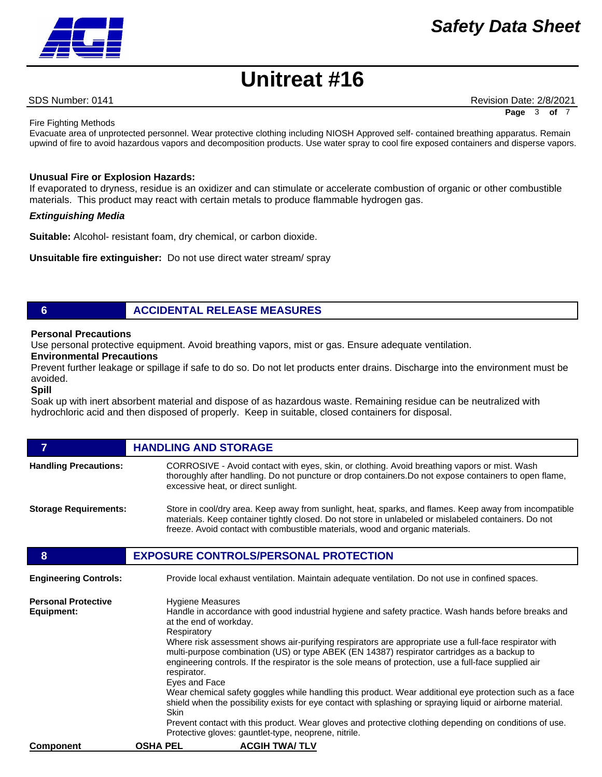SDS Number: 0141 **Revision Date: 2/8/2021** Revision Date: 2/8/2021 **Page** 3 of

Fire Fighting Methods

Evacuate area of unprotected personnel. Wear protective clothing including NIOSH Approved self- contained breathing apparatus. Remain upwind of fire to avoid hazardous vapors and decomposition products. Use water spray to cool fire exposed containers and disperse vapors.

#### **Unusual Fire or Explosion Hazards:**

If evaporated to dryness, residue is an oxidizer and can stimulate or accelerate combustion of organic or other combustible materials. This product may react with certain metals to produce flammable hydrogen gas.

#### *Extinguishing Media*

**Suitable:** Alcohol- resistant foam, dry chemical, or carbon dioxide.

**Unsuitable fire extinguisher:** Do not use direct water stream/ spray

### **6 ACCIDENTAL RELEASE MEASURES**

#### **Personal Precautions**

Use personal protective equipment. Avoid breathing vapors, mist or gas. Ensure adequate ventilation.

#### **Environmental Precautions**

Prevent further leakage or spillage if safe to do so. Do not let products enter drains. Discharge into the environment must be avoided.

#### **Spill**

Soak up with inert absorbent material and dispose of as hazardous waste. Remaining residue can be neutralized with hydrochloric acid and then disposed of properly. Keep in suitable, closed containers for disposal.

| 7                                        | <b>HANDLING AND STORAGE</b>                                                                                                                                                                                                                                                                                                                                                                                                                                                                                                                                                                                                                                                                                                                                                                                                                                                                                                 |  |
|------------------------------------------|-----------------------------------------------------------------------------------------------------------------------------------------------------------------------------------------------------------------------------------------------------------------------------------------------------------------------------------------------------------------------------------------------------------------------------------------------------------------------------------------------------------------------------------------------------------------------------------------------------------------------------------------------------------------------------------------------------------------------------------------------------------------------------------------------------------------------------------------------------------------------------------------------------------------------------|--|
| <b>Handling Precautions:</b>             | CORROSIVE - Avoid contact with eyes, skin, or clothing. Avoid breathing vapors or mist. Wash<br>thoroughly after handling. Do not puncture or drop containers. Do not expose containers to open flame,<br>excessive heat, or direct sunlight.                                                                                                                                                                                                                                                                                                                                                                                                                                                                                                                                                                                                                                                                               |  |
| <b>Storage Requirements:</b>             | Store in cool/dry area. Keep away from sunlight, heat, sparks, and flames. Keep away from incompatible<br>materials. Keep container tightly closed. Do not store in unlabeled or mislabeled containers. Do not<br>freeze. Avoid contact with combustible materials, wood and organic materials.                                                                                                                                                                                                                                                                                                                                                                                                                                                                                                                                                                                                                             |  |
| 8                                        | <b>EXPOSURE CONTROLS/PERSONAL PROTECTION</b>                                                                                                                                                                                                                                                                                                                                                                                                                                                                                                                                                                                                                                                                                                                                                                                                                                                                                |  |
| <b>Engineering Controls:</b>             | Provide local exhaust ventilation. Maintain adequate ventilation. Do not use in confined spaces.                                                                                                                                                                                                                                                                                                                                                                                                                                                                                                                                                                                                                                                                                                                                                                                                                            |  |
| <b>Personal Protective</b><br>Equipment: | Hygiene Measures<br>Handle in accordance with good industrial hygiene and safety practice. Wash hands before breaks and<br>at the end of workday.<br>Respiratory<br>Where risk assessment shows air-purifying respirators are appropriate use a full-face respirator with<br>multi-purpose combination (US) or type ABEK (EN 14387) respirator cartridges as a backup to<br>engineering controls. If the respirator is the sole means of protection, use a full-face supplied air<br>respirator.<br>Eyes and Face<br>Wear chemical safety goggles while handling this product. Wear additional eye protection such as a face<br>shield when the possibility exists for eye contact with splashing or spraying liquid or airborne material.<br><b>Skin</b><br>Prevent contact with this product. Wear gloves and protective clothing depending on conditions of use.<br>Protective gloves: gauntlet-type, neoprene, nitrile. |  |
| <b>Component</b>                         | <b>OSHA PEL</b><br><b>ACGIH TWA/TLV</b>                                                                                                                                                                                                                                                                                                                                                                                                                                                                                                                                                                                                                                                                                                                                                                                                                                                                                     |  |

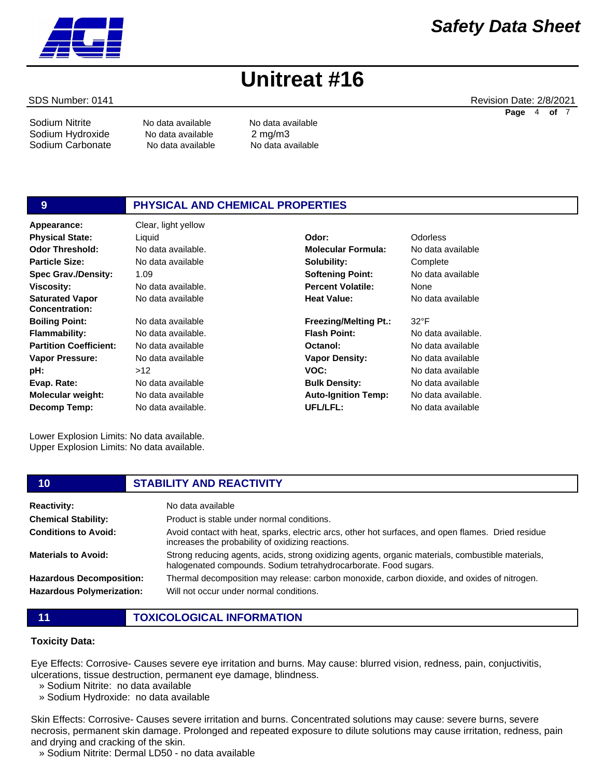Sodium Nitrite No data available No data available Sodium Hydroxide No data available 2 mg/m3 Sodium Carbonate Mo data available No data available

### **9 PHYSICAL AND CHEMICAL PROPERTIES**

**Appearance:** Clear, light yellow No data available 1.09 No data available. No data available No data available No data available. No data available No data available  $512$ No data available No data available No data available. **Physical State:** Liquid **Odor:** Odorless

Lower Explosion Limits: No data available. Upper Explosion Limits: No data available.

No data available. **Molecular Formula:** No data available **Solubility: Softening Point:**

**Percent Volatile: Heat Value: Freezing/Melting Pt.: Flash Point: Octanol: Vapor Density: VOC: Bulk Density: Auto-Ignition Temp: UFL/LFL:** None No data available 32°F No data available. No data available No data available No data available No data available No data available. No data available

**Complete** No data available

SDS Number: 0141 **Revision Date: 2/8/2021** Revision Date: 2/8/2021

**Page** 4 **of** 7

| Physical State:               |
|-------------------------------|
| Odor Threshold:               |
| <b>Particle Size:</b>         |
| <b>Spec Grav./Density:</b>    |
| <b>Viscosity:</b>             |
| <b>Saturated Vapor</b>        |
| Concentration:                |
| <b>Boiling Point:</b>         |
| Flammability:                 |
| <b>Partition Coefficient:</b> |
| <b>Vapor Pressure:</b>        |
| pH:                           |
| Evap. Rate:                   |
| <b>Molecular weight:</b>      |
| Decomp Temp:                  |
|                               |
|                               |

### **10 STABILITY AND REACTIVITY**

| <b>Reactivity:</b>                                                  | No data available                                                                                                                                                    |
|---------------------------------------------------------------------|----------------------------------------------------------------------------------------------------------------------------------------------------------------------|
| <b>Chemical Stability:</b>                                          | Product is stable under normal conditions.                                                                                                                           |
| <b>Conditions to Avoid:</b>                                         | Avoid contact with heat, sparks, electric arcs, other hot surfaces, and open flames. Dried residue<br>increases the probability of oxidizing reactions.              |
| <b>Materials to Avoid:</b>                                          | Strong reducing agents, acids, strong oxidizing agents, organic materials, combustible materials,<br>halogenated compounds. Sodium tetrahydrocarborate. Food sugars. |
| <b>Hazardous Decomposition:</b><br><b>Hazardous Polymerization:</b> | Thermal decomposition may release: carbon monoxide, carbon dioxide, and oxides of nitrogen.<br>Will not occur under normal conditions.                               |
|                                                                     |                                                                                                                                                                      |

**11 TOXICOLOGICAL INFORMATION**

#### **Toxicity Data:**

Eye Effects: Corrosive- Causes severe eye irritation and burns. May cause: blurred vision, redness, pain, conjuctivitis, ulcerations, tissue destruction, permanent eye damage, blindness.

» Sodium Nitrite: no data available

» Sodium Hydroxide: no data available

Skin Effects: Corrosive- Causes severe irritation and burns. Concentrated solutions may cause: severe burns, severe necrosis, permanent skin damage. Prolonged and repeated exposure to dilute solutions may cause irritation, redness, pain and drying and cracking of the skin.

» Sodium Nitrite: Dermal LD50 - no data available

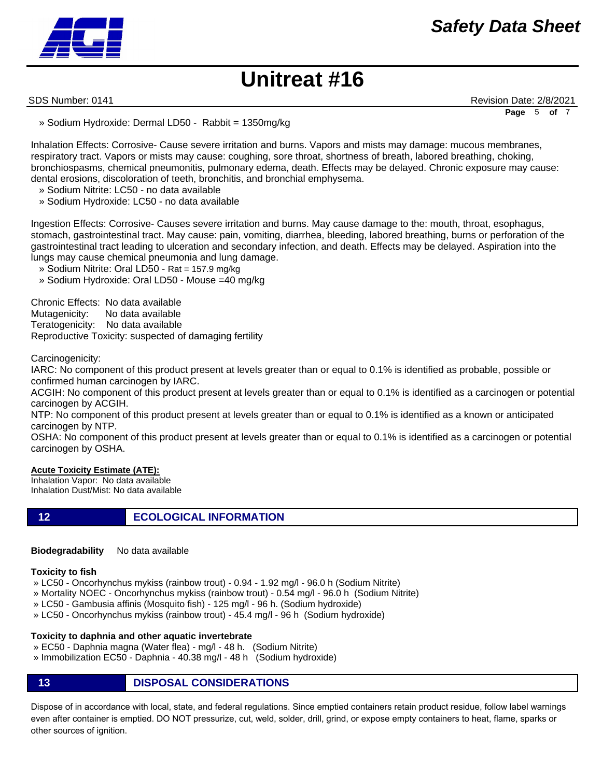

SDS Number: 0141 **Revision Date: 2/8/2021** Revision Date: 2/8/2021 **Page** 5 **of** 7

» Sodium Hydroxide: Dermal LD50 - Rabbit = 1350mg/kg

Inhalation Effects: Corrosive- Cause severe irritation and burns. Vapors and mists may damage: mucous membranes, respiratory tract. Vapors or mists may cause: coughing, sore throat, shortness of breath, labored breathing, choking, bronchiospasms, chemical pneumonitis, pulmonary edema, death. Effects may be delayed. Chronic exposure may cause: dental erosions, discoloration of teeth, bronchitis, and bronchial emphysema.

- » Sodium Nitrite: LC50 no data available
- » Sodium Hydroxide: LC50 no data available

Ingestion Effects: Corrosive- Causes severe irritation and burns. May cause damage to the: mouth, throat, esophagus, stomach, gastrointestinal tract. May cause: pain, vomiting, diarrhea, bleeding, labored breathing, burns or perforation of the gastrointestinal tract leading to ulceration and secondary infection, and death. Effects may be delayed. Aspiration into the lungs may cause chemical pneumonia and lung damage.

- » Sodium Nitrite: Oral LD50 Rat = 157.9 mg/kg
- » Sodium Hydroxide: Oral LD50 Mouse =40 mg/kg

Chronic Effects: No data available Mutagenicity: No data available Teratogenicity: No data available Reproductive Toxicity: suspected of damaging fertility

Carcinogenicity:

IARC: No component of this product present at levels greater than or equal to 0.1% is identified as probable, possible or confirmed human carcinogen by IARC.

ACGIH: No component of this product present at levels greater than or equal to 0.1% is identified as a carcinogen or potential carcinogen by ACGIH.

NTP: No component of this product present at levels greater than or equal to 0.1% is identified as a known or anticipated carcinogen by NTP.

OSHA: No component of this product present at levels greater than or equal to 0.1% is identified as a carcinogen or potential carcinogen by OSHA.

#### **Acute Toxicity Estimate (ATE):**

Inhalation Vapor: No data available Inhalation Dust/Mist: No data available

**12 ECOLOGICAL INFORMATION**

**Biodegradability** No data available

#### **Toxicity to fish**

- » LC50 Oncorhynchus mykiss (rainbow trout) 0.94 1.92 mg/l 96.0 h (Sodium Nitrite)
- » Mortality NOEC Oncorhynchus mykiss (rainbow trout) 0.54 mg/l 96.0 h (Sodium Nitrite)
- » LC50 Gambusia affinis (Mosquito fish) 125 mg/l 96 h. (Sodium hydroxide)
- » LC50 Oncorhynchus mykiss (rainbow trout) 45.4 mg/l 96 h (Sodium hydroxide)

#### **Toxicity to daphnia and other aquatic invertebrate**

- » EC50 Daphnia magna (Water flea) mg/l 48 h. (Sodium Nitrite)
- » Immobilization EC50 Daphnia 40.38 mg/l 48 h (Sodium hydroxide)
- **13 DISPOSAL CONSIDERATIONS**

Dispose of in accordance with local, state, and federal regulations. Since emptied containers retain product residue, follow label warnings even after container is emptied. DO NOT pressurize, cut, weld, solder, drill, grind, or expose empty containers to heat, flame, sparks or other sources of ignition.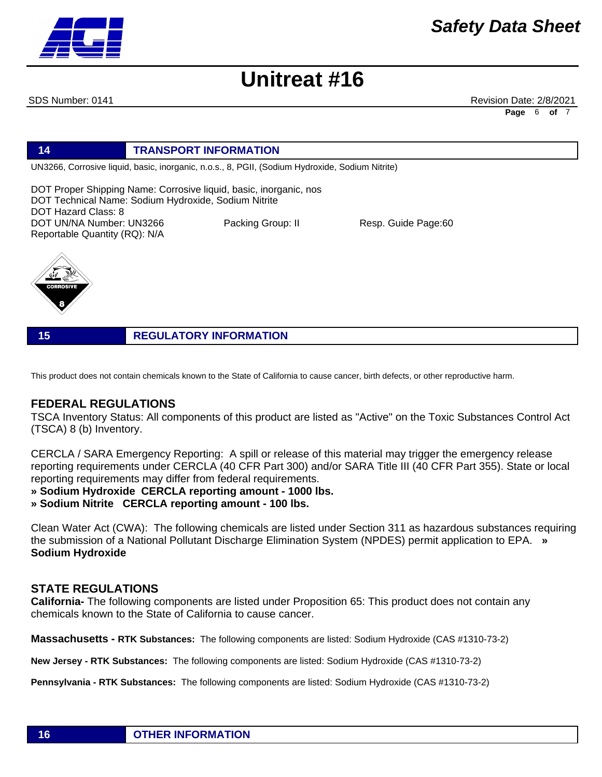**Page** 6 **of** 7

## **Unitreat #16**

#### SDS Number: 0141 **Revision Date: 2/8/2021** Revision Date: 2/8/2021

**14 TRANSPORT INFORMATION**

UN3266, Corrosive liquid, basic, inorganic, n.o.s., 8, PGII, (Sodium Hydroxide, Sodium Nitrite)

DOT Proper Shipping Name: Corrosive liquid, basic, inorganic, nos DOT Technical Name: Sodium Hydroxide, Sodium Nitrite DOT Hazard Class: 8 DOT UN/NA Number: UN3266 Packing Group: II Resp. Guide Page:60

Reportable Quantity (RQ): N/A

**15 REGULATORY INFORMATION**

This product does not contain chemicals known to the State of California to cause cancer, birth defects, or other reproductive harm.

### **FEDERAL REGULATIONS**

TSCA Inventory Status: All components of this product are listed as "Active" on the Toxic Substances Control Act (TSCA) 8 (b) Inventory.

CERCLA / SARA Emergency Reporting: A spill or release of this material may trigger the emergency release reporting requirements under CERCLA (40 CFR Part 300) and/or SARA Title III (40 CFR Part 355). State or local reporting requirements may differ from federal requirements.

**» Sodium Hydroxide CERCLA reporting amount - 1000 lbs.** 

**» Sodium Nitrite CERCLA reporting amount - 100 lbs.**

Clean Water Act (CWA): The following chemicals are listed under Section 311 as hazardous substances requiring the submission of a National Pollutant Discharge Elimination System (NPDES) permit application to EPA. **» Sodium Hydroxide**

### **STATE REGULATIONS**

**California-** The following components are listed under Proposition 65: This product does not contain any chemicals known to the State of California to cause cancer.

**Massachusetts - RTK Substances:** The following components are listed: Sodium Hydroxide (CAS #1310-73-2)

**New Jersey - RTK Substances:** The following components are listed: Sodium Hydroxide (CAS #1310-73-2)

**Pennsylvania - RTK Substances:** The following components are listed: Sodium Hydroxide (CAS #1310-73-2)